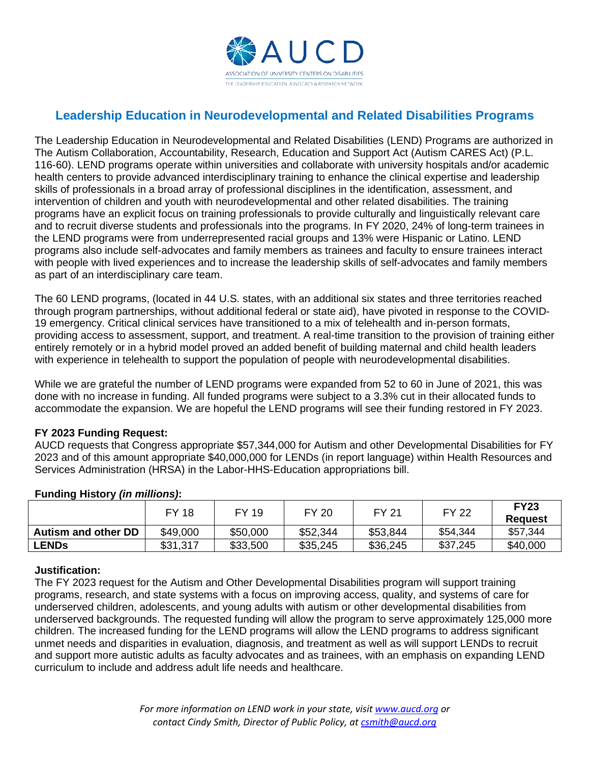

# **Leadership Education in Neurodevelopmental and Related Disabilities Programs**

The Leadership Education in Neurodevelopmental and Related Disabilities (LEND) Programs are authorized in The Autism Collaboration, Accountability, Research, Education and Support Act (Autism CARES Act) (P.L. 116-60). LEND programs operate within universities and collaborate with university hospitals and/or academic health centers to provide advanced interdisciplinary training to enhance the clinical expertise and leadership skills of professionals in a broad array of professional disciplines in the identification, assessment, and intervention of children and youth with neurodevelopmental and other related disabilities. The training programs have an explicit focus on training professionals to provide culturally and linguistically relevant care and to recruit diverse students and professionals into the programs. In FY 2020, 24% of long-term trainees in the LEND programs were from underrepresented racial groups and 13% were Hispanic or Latino. LEND programs also include self-advocates and family members as trainees and faculty to ensure trainees interact with people with lived experiences and to increase the leadership skills of self-advocates and family members as part of an interdisciplinary care team.

The 60 LEND programs, (located in 44 U.S. states, with an additional six states and three territories reached through program partnerships, without additional federal or state aid), have pivoted in response to the COVID-19 emergency. Critical clinical services have transitioned to a mix of telehealth and in-person formats, providing access to assessment, support, and treatment. A real-time transition to the provision of training either entirely remotely or in a hybrid model proved an added benefit of building maternal and child health leaders with experience in telehealth to support the population of people with neurodevelopmental disabilities.

While we are grateful the number of LEND programs were expanded from 52 to 60 in June of 2021, this was done with no increase in funding. All funded programs were subject to a 3.3% cut in their allocated funds to accommodate the expansion. We are hopeful the LEND programs will see their funding restored in FY 2023.

## **FY 2023 Funding Request:**

AUCD requests that Congress appropriate \$57,344,000 for Autism and other Developmental Disabilities for FY 2023 and of this amount appropriate \$40,000,000 for LENDs (in report language) within Health Resources and Services Administration (HRSA) in the Labor-HHS-Education appropriations bill.

|                            | FY 18    | FY 19    | FY 20    | FY 21    | <b>FY 22</b> | <b>FY23</b><br><b>Request</b> |
|----------------------------|----------|----------|----------|----------|--------------|-------------------------------|
| <b>Autism and other DD</b> | \$49,000 | \$50,000 | \$52,344 | \$53,844 | \$54,344     | \$57,344                      |
| LENDs                      | \$31,317 | \$33,500 | \$35,245 | \$36,245 | \$37,245     | \$40,000                      |

#### **Funding History** *(in millions)***:**

## **Justification:**

The FY 2023 request for the Autism and Other Developmental Disabilities program will support training programs, research, and state systems with a focus on improving access, quality, and systems of care for underserved children, adolescents, and young adults with autism or other developmental disabilities from underserved backgrounds. The requested funding will allow the program to serve approximately 125,000 more children. The increased funding for the LEND programs will allow the LEND programs to address significant unmet needs and disparities in evaluation, diagnosis, and treatment as well as will support LENDs to recruit and support more autistic adults as faculty advocates and as trainees, with an emphasis on expanding LEND curriculum to include and address adult life needs and healthcare.